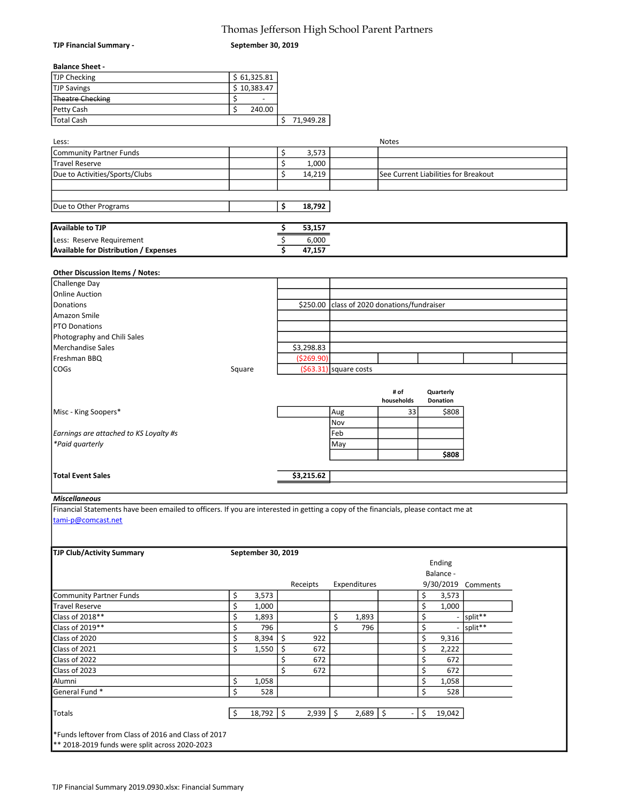### Thomas Jefferson High School Parent Partners

September 30, 2019

# Balance Sheet -

TJP Financial Summary -

| TJP Checking            | \$61,325.81 |           |
|-------------------------|-------------|-----------|
| <b>TJP Savings</b>      | \$10,383.47 |           |
| <b>Theatre Checking</b> |             |           |
| <b>Petty Cash</b>       | 240.00      |           |
| <b>Total Cash</b>       |             | 71,949.28 |

| Less:                                 |        | <b>Notes</b>                         |
|---------------------------------------|--------|--------------------------------------|
| Community Partner Funds               | 3,573  |                                      |
| Travel Reserve                        | 1,000  |                                      |
| Due to Activities/Sports/Clubs        | 14,219 | See Current Liabilities for Breakout |
|                                       |        |                                      |
|                                       |        |                                      |
| Due to Other Programs                 | 18,792 |                                      |
|                                       |        |                                      |
| Available to TJP                      | 53,157 |                                      |
| Less: Reserve Requirement             | 6,000  |                                      |
| Available for Distribution / Expenses | 47,157 |                                      |

#### Other Discussion Items / Notes:

| Challenge Day                          |        |            |                                             |            |                 |  |
|----------------------------------------|--------|------------|---------------------------------------------|------------|-----------------|--|
| <b>Online Auction</b>                  |        |            |                                             |            |                 |  |
| Donations                              |        |            | \$250.00 class of 2020 donations/fundraiser |            |                 |  |
| Amazon Smile                           |        |            |                                             |            |                 |  |
| <b>PTO Donations</b>                   |        |            |                                             |            |                 |  |
| Photography and Chili Sales            |        |            |                                             |            |                 |  |
| Merchandise Sales                      |        | \$3,298.83 |                                             |            |                 |  |
| Freshman BBQ                           |        | (5269.90)  |                                             |            |                 |  |
| COGs                                   | Square |            | $(563.31)$ square costs                     |            |                 |  |
|                                        |        |            |                                             |            |                 |  |
|                                        |        |            |                                             |            |                 |  |
|                                        |        |            |                                             | # of       | Quarterly       |  |
|                                        |        |            |                                             | households | <b>Donation</b> |  |
| Misc - King Soopers*                   |        |            | Aug                                         | 33         | \$808           |  |
|                                        |        |            | Nov                                         |            |                 |  |
| Earnings are attached to KS Loyalty #s |        |            | Feb                                         |            |                 |  |
| *Paid quarterly                        |        |            | May                                         |            |                 |  |
|                                        |        |            |                                             |            | \$808           |  |
|                                        |        |            |                                             |            |                 |  |
| <b>Total Event Sales</b>               |        | \$3,215.62 |                                             |            |                 |  |

# L<br>Miscellaneous

Financial Statements have been emailed to officers. If you are interested in getting a copy of the financials, please contact me at tami-p@comcast.net

| <b>TJP Club/Activity Summary</b> | September 30, 2019  |           |     |              |    |                                |           |             |  |
|----------------------------------|---------------------|-----------|-----|--------------|----|--------------------------------|-----------|-------------|--|
|                                  |                     |           |     |              |    |                                | Ending    |             |  |
|                                  |                     |           |     |              |    |                                | Balance - |             |  |
|                                  |                     | Receipts  |     | Expenditures |    |                                | 9/30/2019 | Comments    |  |
| Community Partner Funds          | \$<br>3,573         |           |     |              |    | \$                             | 3,573     |             |  |
| <b>Travel Reserve</b>            | \$<br>1,000         |           |     |              |    | \$                             | 1,000     |             |  |
| Class of 2018**                  | \$<br>1,893         |           | \$  | 1,893        |    | \$                             |           | $-$ split** |  |
| Class of 2019**                  | \$<br>796           |           | \$  | 796          |    | \$                             |           | - split**   |  |
| Class of 2020                    | \$<br>8,394         | \$<br>922 |     |              |    | \$                             | 9,316     |             |  |
| Class of 2021                    | \$<br>1,550         | Ś<br>672  |     |              |    | \$                             | 2,222     |             |  |
| Class of 2022                    |                     | 672       |     |              |    | Ś                              | 672       |             |  |
| Class of 2023                    |                     | 672<br>Ś  |     |              |    | \$                             | 672       |             |  |
| Alumni                           | \$<br>1,058         |           |     |              |    | \$                             | 1,058     |             |  |
| General Fund*                    | \$<br>528           |           |     |              |    | \$                             | 528       |             |  |
|                                  |                     |           |     |              |    |                                |           |             |  |
| Totals                           | \$<br>$18,792$   \$ | 2,939     | -\$ | 2,689        | S. | \$<br>$\overline{\phantom{a}}$ | 19,042    |             |  |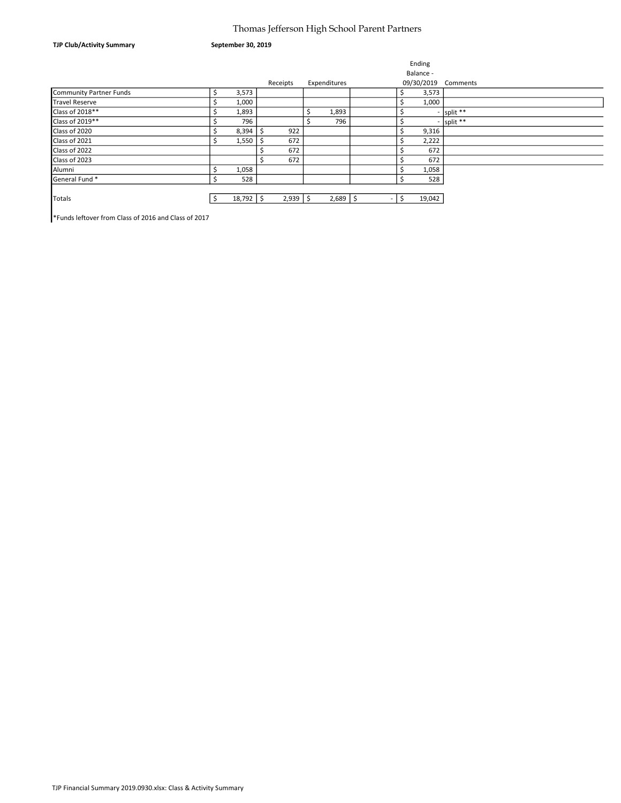### Thomas Jefferson High School Parent Partners

September 30, 2019

|                         |   |               |           |     |              |   |    | Ending     |                |
|-------------------------|---|---------------|-----------|-----|--------------|---|----|------------|----------------|
|                         |   |               |           |     |              |   |    | Balance -  |                |
|                         |   |               | Receipts  |     | Expenditures |   |    | 09/30/2019 | Comments       |
| Community Partner Funds | ╰ | 3,573         |           |     |              |   |    | 3,573      |                |
| <b>Travel Reserve</b>   |   | 1,000         |           |     |              |   |    | 1,000      |                |
| Class of 2018**         |   | 1,893         |           | Ś   | 1,893        |   | \$ |            | $-$ split $**$ |
| Class of 2019**         |   | 796           |           | Ĭ,  | 796          |   |    |            | $-$ split **   |
| Class of 2020           |   | 8,394         | 922<br>-Ś |     |              |   | Ś  | 9,316      |                |
| Class of 2021           |   | 1,550         | 672       |     |              |   |    | 2,222      |                |
| Class of 2022           |   |               | 672       |     |              |   |    | 672        |                |
| Class of 2023           |   |               | 672       |     |              |   |    | 672        |                |
| Alumni                  |   | 1,058         |           |     |              |   |    | 1,058      |                |
| General Fund *          | ≥ | 528           |           |     |              |   | \$ | 528        |                |
|                         |   |               |           |     |              |   |    |            |                |
| <b>Totals</b>           |   | $18,792$   \$ | 2,939     | -\$ | $2,689$   \$ | ٠ | Ś  | 19,042     |                |
|                         |   |               |           |     |              |   |    |            |                |

\*Funds leftover from Class of 2016 and Class of 2017

TJP Club/Activity Summary